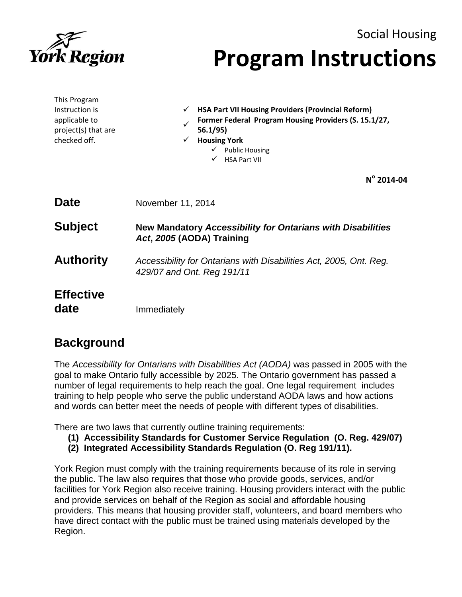

# Social Housing **Program Instructions**

| This Program<br>Instruction is<br>applicable to<br>project(s) that are<br>checked off. | <b>HSA Part VII Housing Providers (Provincial Reform)</b><br>✓<br>Former Federal Program Housing Providers (S. 15.1/27,<br>56.1/95)<br><b>Housing York</b><br>$\checkmark$<br>$\checkmark$ Public Housing<br><b>HSA Part VII</b> |
|----------------------------------------------------------------------------------------|----------------------------------------------------------------------------------------------------------------------------------------------------------------------------------------------------------------------------------|
|                                                                                        | $N^{\circ}$ 2014-04                                                                                                                                                                                                              |
| <b>Date</b>                                                                            | November 11, 2014                                                                                                                                                                                                                |
| <b>Subject</b>                                                                         | <b>New Mandatory Accessibility for Ontarians with Disabilities</b><br>Act, 2005 (AODA) Training                                                                                                                                  |
| <b>Authority</b>                                                                       | Accessibility for Ontarians with Disabilities Act, 2005, Ont. Reg.<br>429/07 and Ont. Reg 191/11                                                                                                                                 |
| <b>Effective</b><br>date                                                               | Immediately                                                                                                                                                                                                                      |

## **Background**

The *Accessibility for Ontarians with Disabilities Act (AODA)* was passed in 2005 with the goal to make Ontario fully accessible by 2025. The Ontario government has passed a number of legal requirements to help reach the goal. One legal requirement includes training to help people who serve the public understand AODA laws and how actions and words can better meet the needs of people with different types of disabilities.

There are two laws that currently outline training requirements:

- **(1) Accessibility Standards for Customer Service Regulation (O. Reg. 429/07)**
- **(2) Integrated Accessibility Standards Regulation (O. Reg 191/11).**

York Region must comply with the training requirements because of its role in serving the public. The law also requires that those who provide goods, services, and/or facilities for York Region also receive training. Housing providers interact with the public and provide services on behalf of the Region as social and affordable housing providers. This means that housing provider staff, volunteers, and board members who have direct contact with the public must be trained using materials developed by the Region.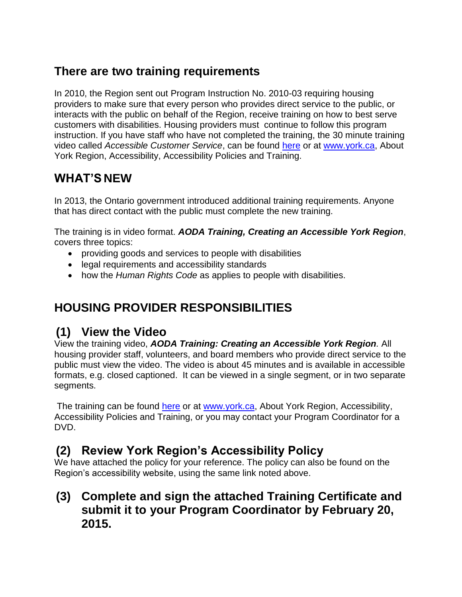## **There are two training requirements**

In 2010, the Region sent out Program Instruction No. 2010-03 requiring housing providers to make sure that every person who provides direct service to the public, or interacts with the public on behalf of the Region, receive training on how to best serve customers with disabilities. Housing providers must continue to follow this program instruction. If you have staff who have not completed the training, the 30 minute training video called *Accessible Customer Service*, can be found [here](http://www.york.ca/wps/portal/yorkhome/yorkregion/yr/accessibility/accessibilitypolicyandtraining/accessibilitypoliciesandtraining/!ut/p/a1/jdDNDoIwDAfwZ-EBzMrCxzzOGR0gwZu4i5mI2AQHAWKCTy8aD8ao2Ns__TVtShRJiTL6goXusDK6vGfl7QK-DKSMIEwcJoBDwkPqM2CRP4DtAOBLcRibD_9YQJtYxAVRte5OEzTHiqQ6y_K2xT2W2PVvsa5KzHptDl2j0aApPvUxb1_FhqjHIZQ6nrQFhCATBsHCX7tzJm0Q7giI6BP8eEV9Tq-r2TRAblk3fYYzyA!!/dl5/d5/L2dBISEvZ0FBIS9nQSEh) or at [www.york.ca,](http://www.york.ca/) About York Region, Accessibility, Accessibility Policies and Training.

# **WHAT'S NEW**

In 2013, the Ontario government introduced additional training requirements. Anyone that has direct contact with the public must complete the new training.

The training is in video format. *AODA Training, Creating an Accessible York Region*, covers three topics:

- providing goods and services to people with disabilities
- legal requirements and accessibility standards
- how the *Human Rights Code* as applies to people with disabilities.

# **HOUSING PROVIDER RESPONSIBILITIES**

#### **(1) View the Video**

View the training video, *AODA Training: Creating an Accessible York Region.* All housing provider staff, volunteers, and board members who provide direct service to the public must view the video. The video is about 45 minutes and is available in accessible formats, e.g. closed captioned. It can be viewed in a single segment, or in two separate segments.

The training can be found [here](http://www.york.ca/wps/portal/yorkhome/yorkregion/yr/accessibility/accessibilitypolicyandtraining/accessibilitypoliciesandtraining/!ut/p/a1/jdDNDoIwDAfwZ-EBzMrCxzzOGR0gwZu4i5mI2AQHAWKCTy8aD8ao2Ns__TVtShRJiTL6goXusDK6vGfl7QK-DKSMIEwcJoBDwkPqM2CRP4DtAOBLcRibD_9YQJtYxAVRte5OEzTHiqQ6y_K2xT2W2PVvsa5KzHptDl2j0aApPvUxb1_FhqjHIZQ6nrQFhCATBsHCX7tzJm0Q7giI6BP8eEV9Tq-r2TRAblk3fYYzyA!!/dl5/d5/L2dBISEvZ0FBIS9nQSEh) or at [www.york.ca,](http://www.york.ca/) About York Region, Accessibility, Accessibility Policies and Training, or you may contact your Program Coordinator for a DVD.

## **(2) Review York Region's Accessibility Policy**

We have attached the policy for your reference. The policy can also be found on the Region's accessibility website, using the same link noted above.

**(3) Complete and sign the attached Training Certificate and submit it to your Program Coordinator by February 20, 2015.**